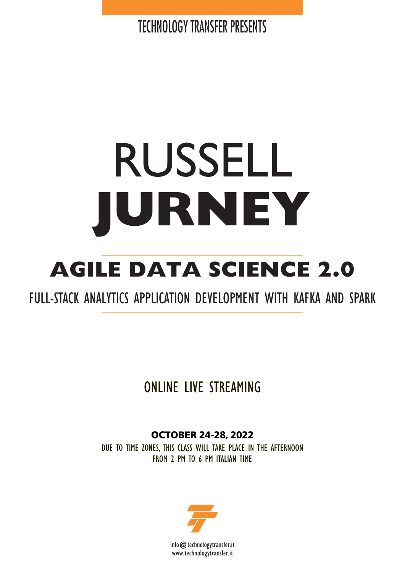**TECHNOLOGY TRANSFER PRESENTS** 

# RUSSELL **JURNEY**

## **AGILE DATA SCIENCE 2.0**

## FULL-STACK ANALYTICS APPLICATION DEVELOPMENT WITH KAFKA AND SPARK

## ONLINE LIVE STREAMING

**OCTOBER 24-28, 2022**

DUE TO TIME ZONES, THIS CLASS WILL TAKE PLACE IN THE AFTERNOON FROM 2 PM TO 6 PM ITALIAN TIME

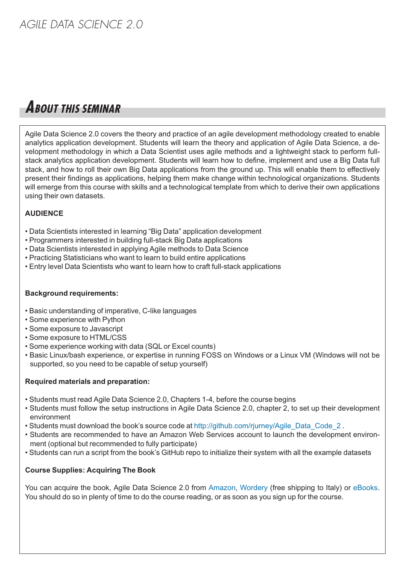## **ABOUT THIS SEMINAR**

Agile Data Science 2.0 covers the theory and practice of an agile development methodology created to enable analytics application development. Students will learn the theory and application of Agile Data Science, a development methodology in which a Data Scientist uses agile methods and a lightweight stack to perform fullstack analytics application development. Students will learn how to define, implement and use a Big Data full stack, and how to roll their own Big Data applications from the ground up. This will enable them to effectively present their findings as applications, helping them make change within technological organizations. Students will emerge from this course with skills and a technological template from which to derive their own applications using their own datasets.

#### **AUDIENCE**

- Data Scientists interested in learning "Big Data" application development
- Programmers interested in building full-stack Big Data applications
- Data Scientists interested in applying Agile methods to Data Science
- Practicing Statisticians who want to learn to build entire applications
- Entry level Data Scientists who want to learn how to craft full-stack applications

#### **Background requirements:**

- Basic understanding of imperative, C-like languages
- Some experience with Python
- Some exposure to Javascript
- Some exposure to HTML/CSS
- Some experience working with data (SQL or Excel counts)
- Basic Linux/bash experience, or expertise in running FOSS on Windows or a Linux VM (Windows will not be supported, so you need to be capable of setup yourself)

#### **Required materials and preparation:**

- Students must read Agile Data Science 2.0, Chapters 1-4, before the course begins
- Students must follow the setup instructions in Agile Data Science 2.0, chapter 2, to set up their development environment
- Students must download the book's source code at [http://github.com/rjurney/Agile\\_Data\\_Code\\_2](http://github.com/rjurney/Agile_Data_Code_2 ) .
- Students are recommended to have an Amazon Web Services account to launch the development environment (optional but recommended to fully participate)
- Students can run a script from the book's GitHub repo to initialize their system with all the example datasets

#### **Course Supplies: Acquiring The Book**

You can acquire the book, Agile Data [Science](http://github.com/rjurney/Agile_Data_Code_2 ) 2.0 from [Amazon,](https://www.amazon.it/Agile-Data-Science-2-0-Applications/dp/1491960116) [Wordery](https://wordery.com/agile-data-science-20-russell-jurney-9781491960110?cTrk=Nzk4MDg5MzR8NWE2OWIwMGIzMjZlYzoxOjE6NWE2OWFmZmVhMThmZTEuMjM1NDM2MjY6Y2U4NzU5Yzc%3D) (free shipping to Italy) or [eBooks.](https://www.ebooks.com/95787293/agile-data-science-2-0/jurney-russell/) You should do so in plenty of time to do the course reading, or as soon as you sign up for the course.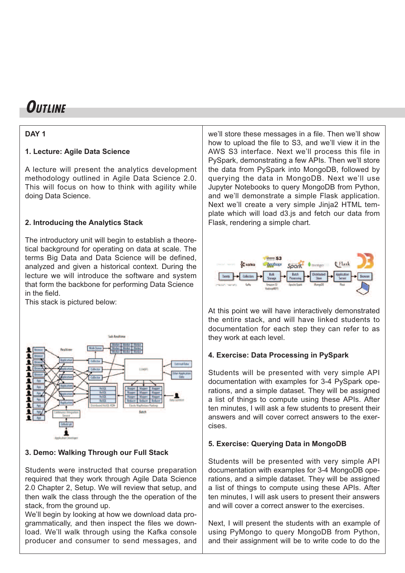## **OUTLINE**

#### **DAY 1**

#### **1. Lecture: Agile Data Science**

A lecture will present the analytics development methodology outlined in Agile Data Science 2.0. This will focus on how to think with agility while doing Data Science.

#### **2. Introducing the Analytics Stack**

The introductory unit will begin to establish a theoretical background for operating on data at scale. The terms Big Data and Data Science will be defined, analyzed and given a historical context. During the lecture we will introduce the software and system that form the backbone for performing Data Science in the field.

This stack is pictured below:



#### **3. Demo: Walking Through our Full Stack**

Students were instructed that course preparation required that they work through Agile Data Science 2.0 Chapter 2, Setup. We will review that setup, and then walk the class through the the operation of the stack, from the ground up.

We'll begin by looking at how we download data programmatically, and then inspect the files we download. We'll walk through using the Kafka console producer and consumer to send messages, and we'll store these messages in a file. Then we'll show how to upload the file to S3, and we'll view it in the AWS S3 interface. Next we'll process this file in PySpark, demonstrating a few APIs. Then we'll store the data from PySpark into MongoDB, followed by querying the data in MongoDB. Next we'll use Jupyter Notebooks to query MongoDB from Python, and we'll demonstrate a simple Flask application. Next we'll create a very simple Jinja2 HTML template which will load d3.js and fetch our data from Flask, rendering a simple chart.



At this point we will have interactively demonstrated the entire stack, and will have linked students to documentation for each step they can refer to as they work at each level.

#### **4. Exercise: Data Processing in PySpark**

Students will be presented with very simple API documentation with examples for 3-4 PySpark operations, and a simple dataset. They will be assigned a list of things to compute using these APIs. After ten minutes, I will ask a few students to present their answers and will cover correct answers to the exercises.

#### **5. Exercise: Querying Data in MongoDB**

Students will be presented with very simple API documentation with examples for 3-4 MongoDB operations, and a simple dataset. They will be assigned a list of things to compute using these APIs. After ten minutes, I will ask users to present their answers and will cover a correct answer to the exercises.

Next, I will present the students with an example of using PyMongo to query MongoDB from Python, and their assignment will be to write code to do the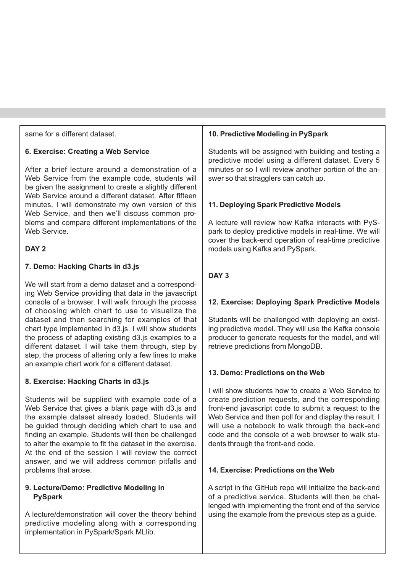same for a different dataset.

#### **6. Exercise: Creating a Web Service**

After a brief lecture around a demonstration of a Web Service from the example code, students will be given the assignment to create a slightly different Web Service around a different dataset. After fifteen minutes, I will demonstrate my own version of this Web Service, and then we'll discuss common problems and compare different implementations of the Web Service.

#### **DAY 2**

#### **7. Demo: Hacking Charts in d3.js**

We will start from a demo dataset and a corresponding Web Service providing that data in the javascript console of a browser. I will walk through the process of choosing which chart to use to visualize the dataset and then searching for examples of that chart type implemented in d3.js. I will show students the process of adapting existing d3.js examples to a different dataset. I will take them through, step by step, the process of altering only a few lines to make an example chart work for a different dataset.

#### **8. Exercise: Hacking Charts in d3.js**

Students will be supplied with example code of a Web Service that gives a blank page with d3.js and the example dataset already loaded. Students will be guided through deciding which chart to use and finding an example. Students will then be challenged to alter the example to fit the dataset in the exercise. At the end of the session I will review the correct answer, and we will address common pitfalls and problems that arose.

#### **9. Lecture/Demo: Predictive Modeling in PySpark**

A lecture/demonstration will cover the theory behind predictive modeling along with a corresponding implementation in PySpark/Spark MLlib.

#### **10. Predictive Modeling in PySpark**

Students will be assigned with building and testing a predictive model using a different dataset. Every 5 minutes or so I will review another portion of the answer so that stragglers can catch up.

#### **11. Deploying Spark Predictive Models**

A lecture will review how Kafka interacts with PySpark to deploy predictive models in real-time. We will cover the back-end operation of real-time predictive models using Kafka and PySpark.

#### **DAY 3**

#### 1**2. Exercise: Deploying Spark Predictive Models**

Students will be challenged with deploying an existing predictive model. They will use the Kafka console producer to generate requests for the model, and will retrieve predictions from MongoDB.

#### **13. Demo: Predictions on the Web**

I will show students how to create a Web Service to create prediction requests, and the corresponding front-end javascript code to submit a request to the Web Service and then poll for and display the result. I will use a notebook to walk through the back-end code and the console of a web browser to walk students through the front-end code.

#### **14. Exercise: Predictions on the Web**

A script in the GitHub repo will initialize the back-end of a predictive service. Students will then be challenged with implementing the front end of the service using the example from the previous step as a guide.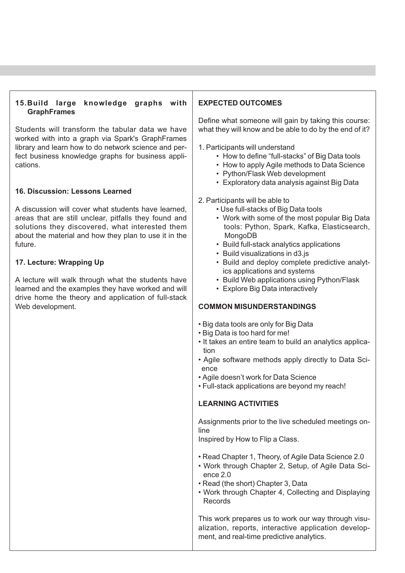#### **15.Build large knowledge graphs with GraphFrames**

Students will transform the tabular data we have worked with into a graph via Spark's GraphFrames library and learn how to do network science and perfect business knowledge graphs for business applications.

#### **16. Discussion: Lessons Learned**

A discussion will cover what students have learned, areas that are still unclear, pitfalls they found and solutions they discovered, what interested them about the material and how they plan to use it in the future.

#### **17. Lecture: Wrapping Up**

A lecture will walk through what the students have learned and the examples they have worked and will drive home the theory and application of full-stack Web development.

#### **EXPECTED OUTCOMES**

Define what someone will gain by taking this course: what they will know and be able to do by the end of it?

1. Participants will understand

- How to define "full-stacks" of Big Data tools
- How to apply Agile methods to Data Science
- Python/Flask Web development
- Exploratory data analysis against Big Data

#### 2. Participants will be able to

- Use full-stacks of Big Data tools
- Work with some of the most popular Big Data tools: Python, Spark, Kafka, Elasticsearch, MongoDB
- Build full-stack analytics applications
- Build visualizations in d3.js
- Build and deploy complete predictive analytics applications and systems
- Build Web applications using Python/Flask
- Explore Big Data interactively

#### **COMMON MISUNDERSTANDINGS**

- Big data tools are only for Big Data
- Big Data is too hard for me!
- It takes an entire team to build an analytics application
- Agile software methods apply directly to Data Science
- Agile doesn't work for Data Science
- Full-stack applications are beyond my reach!

#### **LEARNING ACTIVITIES**

Assignments prior to the live scheduled meetings online

Inspired by How to Flip a Class.

- Read Chapter 1, Theory, of Agile Data Science 2.0
- Work through Chapter 2, Setup, of Agile Data Science 2.0
- Read (the short) Chapter 3, Data
- Work through Chapter 4, Collecting and Displaying Records

This work prepares us to work our way through visualization, reports, interactive application development, and real-time predictive analytics.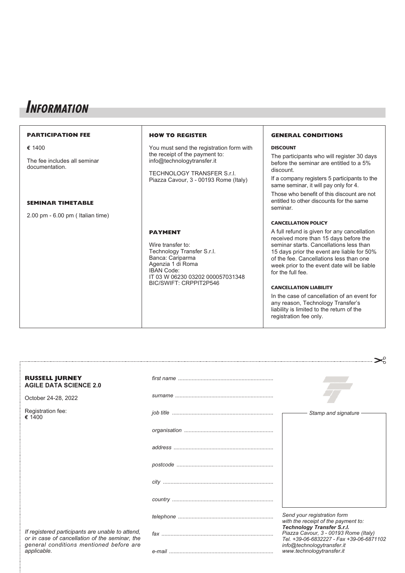## **INFORMATION**

#### **PARTICIPATION FEE e** 1400 The fee includes all seminar documentation. **SEMINAR TIMETABLE** 2.00 pm - 6.00 pm ( Italian time) **HOW TO REGISTER** You must send the registration form with the receipt of the payment to: info@technologytransfer.it TECHNOLOGY TRANSFER S.r.l. Piazza Cavour, 3 - 00193 Rome (Italy) **PAYMENT** Wire transfer to: Technology Transfer S.r.l. Banca: Cariparma Agenzia 1 di Roma IBAN Code: IT 03 W 06230 03202 000057031348 BIC/SWIFT: CRPPIT2P546 **GENERAL CONDITIONS DISCOUNT** The participants who will register 30 days before the seminar are entitled to a 5% discount. If a company registers 5 participants to the same seminar, it will pay only for 4. Those who benefit of this discount are not entitled to other discounts for the same seminar. **CANCELLATION POLICY** A full refund is given for any cancellation received more than 15 days before the seminar starts. Cancellations less than 15 days prior the event are liable for 50% of the fee. Cancellations less than one week prior to the event date will be liable for the full fee. **CANCELLATION LIABILITY** In the case of cancellation of an event for any reason, Technology Transfer's liability is limited to the return of the registration fee only.

| <b>RUSSELL JURNEY</b><br><b>AGILE DATA SCIENCE 2.0</b>                                                                                                       |                       |                                                                                                                        |
|--------------------------------------------------------------------------------------------------------------------------------------------------------------|-----------------------|------------------------------------------------------------------------------------------------------------------------|
| October 24-28, 2022                                                                                                                                          | $\sum_{n=1}^{\infty}$ |                                                                                                                        |
| Registration fee:<br>€ 1400                                                                                                                                  |                       | Stamp and signature                                                                                                    |
|                                                                                                                                                              |                       |                                                                                                                        |
|                                                                                                                                                              |                       |                                                                                                                        |
|                                                                                                                                                              |                       |                                                                                                                        |
|                                                                                                                                                              |                       |                                                                                                                        |
|                                                                                                                                                              |                       |                                                                                                                        |
|                                                                                                                                                              |                       | Send your registration form<br>with the receipt of the payment to:                                                     |
| If registered participants are unable to attend,<br>or in case of cancellation of the seminar, the<br>general conditions mentioned before are<br>applicable. |                       | <b>Technology Transfer S.r.l.</b><br>Piazza Cavour, 3 - 00193 Rome (Italy)<br>Tel. +39-06-6832227 - Fax +39-06-6871102 |
|                                                                                                                                                              |                       | info@technologytransfer.it<br>www.technologytransfer.it                                                                |

 $\sim$   $\circ$